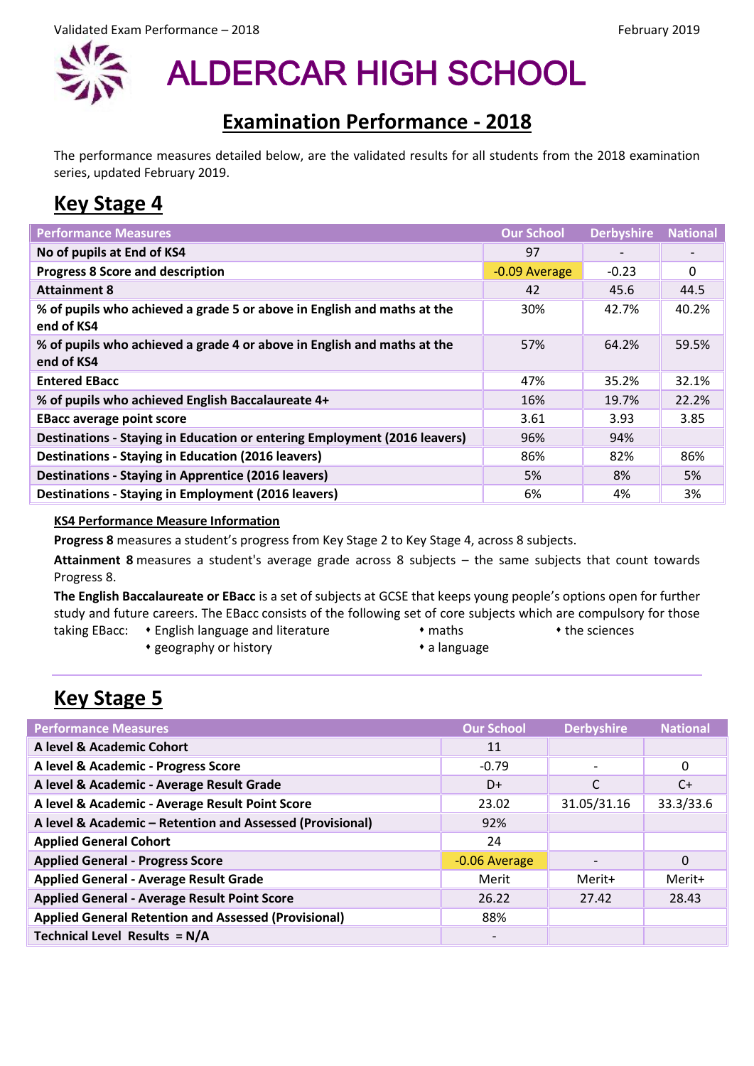

**ALDERCAR HIGH SCHOOL** 

## **Examination Performance - 2018**

The performance measures detailed below, are the validated results for all students from the 2018 examination series, updated February 2019.

## **Key Stage 4**

| <b>Performance Measures</b>                                                           | <b>Our School</b> | <b>Derbyshire</b> | <b>National</b> |
|---------------------------------------------------------------------------------------|-------------------|-------------------|-----------------|
| No of pupils at End of KS4                                                            | 97                |                   |                 |
| <b>Progress 8 Score and description</b>                                               | -0.09 Average     | $-0.23$           | 0               |
| <b>Attainment 8</b>                                                                   | 42                | 45.6              | 44.5            |
| % of pupils who achieved a grade 5 or above in English and maths at the<br>end of KS4 | 30%               | 42.7%             | 40.2%           |
| % of pupils who achieved a grade 4 or above in English and maths at the<br>end of KS4 | 57%               | 64.2%             | 59.5%           |
| <b>Entered EBacc</b>                                                                  | 47%               | 35.2%             | 32.1%           |
| % of pupils who achieved English Baccalaureate 4+                                     | 16%               | 19.7%             | 22.2%           |
| <b>EBacc average point score</b>                                                      | 3.61              | 3.93              | 3.85            |
| Destinations - Staying in Education or entering Employment (2016 leavers)             | 96%               | 94%               |                 |
| Destinations - Staying in Education (2016 leavers)                                    | 86%               | 82%               | 86%             |
| Destinations - Staying in Apprentice (2016 leavers)                                   | 5%                | 8%                | 5%              |
| <b>Destinations - Staying in Employment (2016 leavers)</b>                            | 6%                | 4%                | 3%              |

## **KS4 Performance Measure Information**

**Progress 8** measures a student's progress from Key Stage 2 to Key Stage 4, across 8 subjects.

**Attainment 8** measures a student's average grade across 8 subjects – the same subjects that count towards Progress 8.

**The English Baccalaureate or EBacc** is a set of subjects at GCSE that keeps young people's options open for further study and future careers. The EBacc consists of the following set of core subjects which are compulsory for those

- taking EBacc: English language and literature maths maths the sciences
	-
	- geography or history **a compared to the example of the example of the example of the example of the example of the example of the example of the example of the example of the example of the example of the example of the**

## **Key Stage 5**

| <b>Performance Measures</b>                                 | <b>Our School</b> | <b>Derbyshire</b>        | <b>National</b> |
|-------------------------------------------------------------|-------------------|--------------------------|-----------------|
| A level & Academic Cohort                                   | 11                |                          |                 |
| A level & Academic - Progress Score                         | $-0.79$           | $\overline{\phantom{0}}$ | 0               |
| A level & Academic - Average Result Grade                   | D+                | C                        | $C+$            |
| A level & Academic - Average Result Point Score             | 23.02             | 31.05/31.16              | 33.3/33.6       |
| A level & Academic - Retention and Assessed (Provisional)   | 92%               |                          |                 |
| <b>Applied General Cohort</b>                               | 24                |                          |                 |
| <b>Applied General - Progress Score</b>                     | -0.06 Average     | $\qquad \qquad$          | $\Omega$        |
| <b>Applied General - Average Result Grade</b>               | Merit             | Merit+                   | Merit+          |
| <b>Applied General - Average Result Point Score</b>         | 26.22             | 27.42                    | 28.43           |
| <b>Applied General Retention and Assessed (Provisional)</b> | 88%               |                          |                 |
| Technical Level Results = N/A                               |                   |                          |                 |